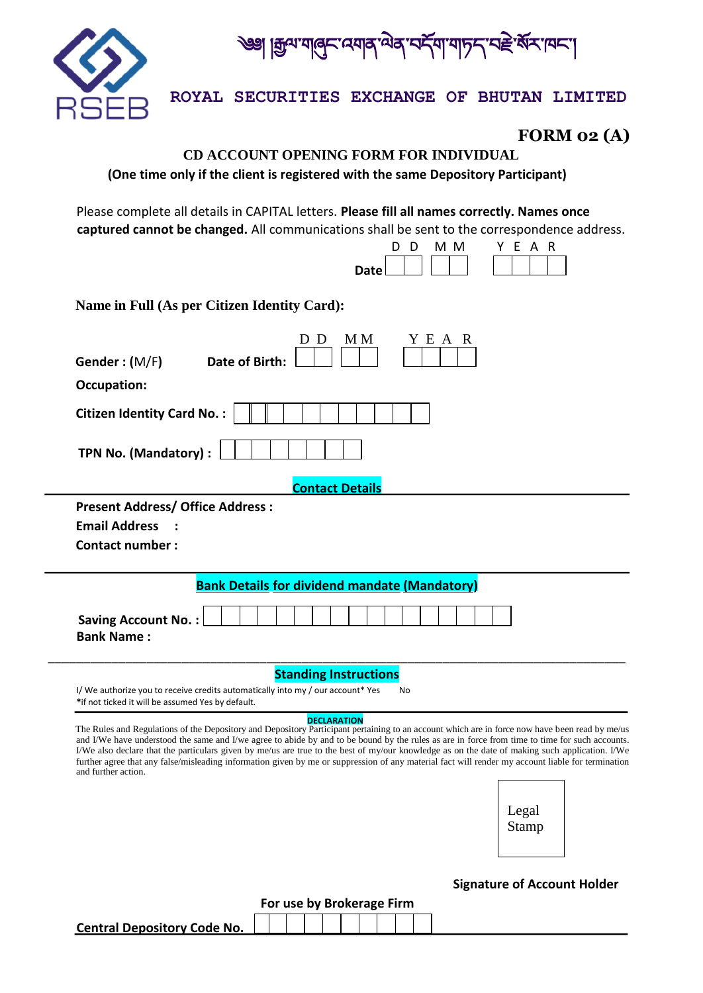

|ক্ৰুম্মাৰ্ক্ বেমাৰ্ মৰ বিশ্বাসন্দৰ্শ বৰ্ষ মন্দি

**ROYAL SECURITIES EXCHANGE OF BHUTAN LIMITED**

**FORM 02 (A)** 

## **CD ACCOUNT OPENING FORM FOR INDIVIDUAL (One time only if the client is registered with the same Depository Participant)**

Please complete all details in CAPITAL letters. **Please fill all names correctly. Names once captured cannot be changed.** All communications shall be sent to the correspondence address.

|  | ח ח | MM YFAR |  |  |  |
|--|-----|---------|--|--|--|
|  |     |         |  |  |  |

**Name in Full (As per Citizen Identity Card):** 

| M M<br>Y E A R<br>D<br>D                                                                                                                  |  |  |  |  |  |
|-------------------------------------------------------------------------------------------------------------------------------------------|--|--|--|--|--|
| Gender: (M/F)<br>Date of Birth:                                                                                                           |  |  |  |  |  |
| Occupation:                                                                                                                               |  |  |  |  |  |
| <b>Citizen Identity Card No.:</b>                                                                                                         |  |  |  |  |  |
| TPN No. (Mandatory) :                                                                                                                     |  |  |  |  |  |
| <b>Contact Details</b>                                                                                                                    |  |  |  |  |  |
| <b>Contact number:</b>                                                                                                                    |  |  |  |  |  |
|                                                                                                                                           |  |  |  |  |  |
| <b>Bank Details for dividend mandate (Mandatory)</b>                                                                                      |  |  |  |  |  |
| <b>Saving Account No.:</b><br><b>Bank Name:</b>                                                                                           |  |  |  |  |  |
| <b>Standing Instructions</b>                                                                                                              |  |  |  |  |  |
| I/We authorize you to receive credits automatically into my / our account* Yes<br>No<br>*if not ticked it will be assumed Yes by default. |  |  |  |  |  |

I/We also declare that the particulars given by me/us are true to the best of my/our knowledge as on the date of making such application. I/We further agree that any false/misleading information given by me or suppression of any material fact will render my account liable for termination and further action.

> Legal Stamp

## **Signature of Account Holder**

| For use by Brokerage Firm          |
|------------------------------------|
| <b>Central Depository Code No.</b> |